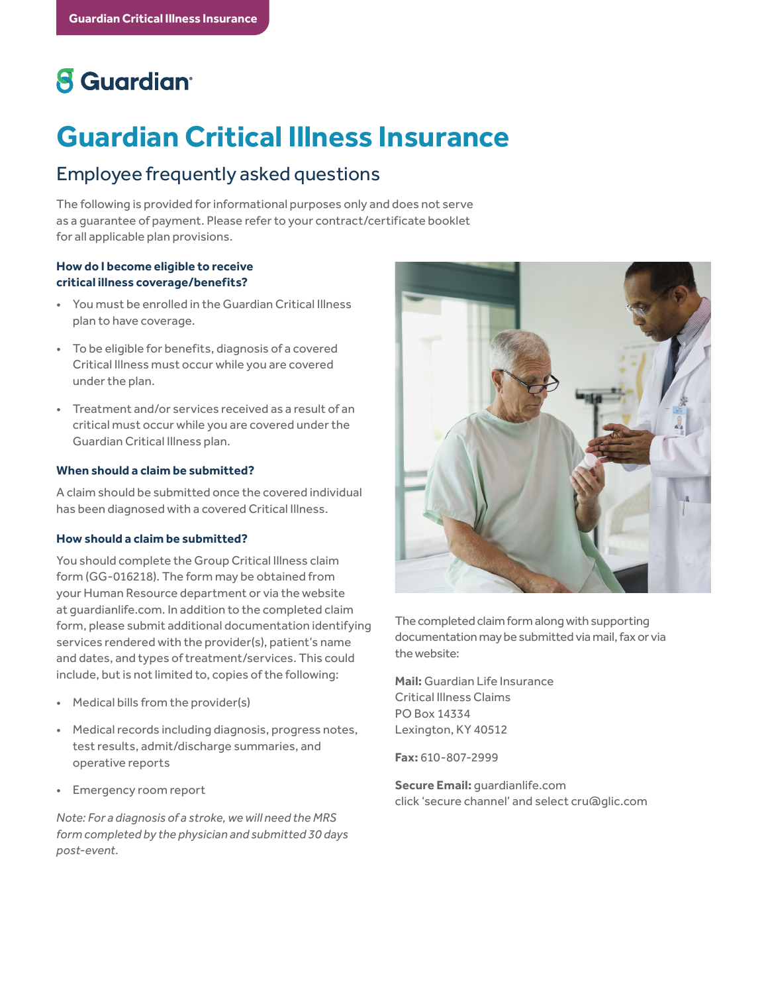# **8** Guardian<sup>®</sup>

# **Guardian Critical Illness Insurance**

# Employee frequently asked questions

The following is provided for informational purposes only and does not serve as a guarantee of payment. Please refer to your contract/certificate booklet for all applicable plan provisions.

# **How do I become eligible to receive critical illness coverage/benefits?**

- You must be enrolled in the Guardian Critical Illness plan to have coverage.
- To be eligible for benefits, diagnosis of a covered Critical Illness must occur while you are covered under the plan.
- Treatment and/or services received as a result of an critical must occur while you are covered under the Guardian Critical Illness plan.

### **When should a claim be submitted?**

A claim should be submitted once the covered individual has been diagnosed with a covered Critical Illness.

# **How should a claim be submitted?**

You should complete the Group Critical Illness claim form (GG-016218). The form may be obtained from your Human Resource department or via the website at guardianlife.com. In addition to the completed claim form, please submit additional documentation identifying services rendered with the provider(s), patient's name and dates, and types of treatment/services. This could include, but is not limited to, copies of the following:

- Medical bills from the provider(s)
- Medical records including diagnosis, progress notes, test results, admit/discharge summaries, and operative reports
- Emergency room report

*Note: For a diagnosis of a stroke, we will need the MRS form completed by the physician and submitted 30 days post-event.*



The completed claim form along with supporting documentation may be submitted via mail, fax or via the website:

**Mail:** Guardian Life Insurance Critical Illness Claims PO Box 14334 Lexington, KY 40512

**Fax:** 610-807-2999

**Secure Email:** guardianlife.com click 'secure channel' and select cru@glic.com